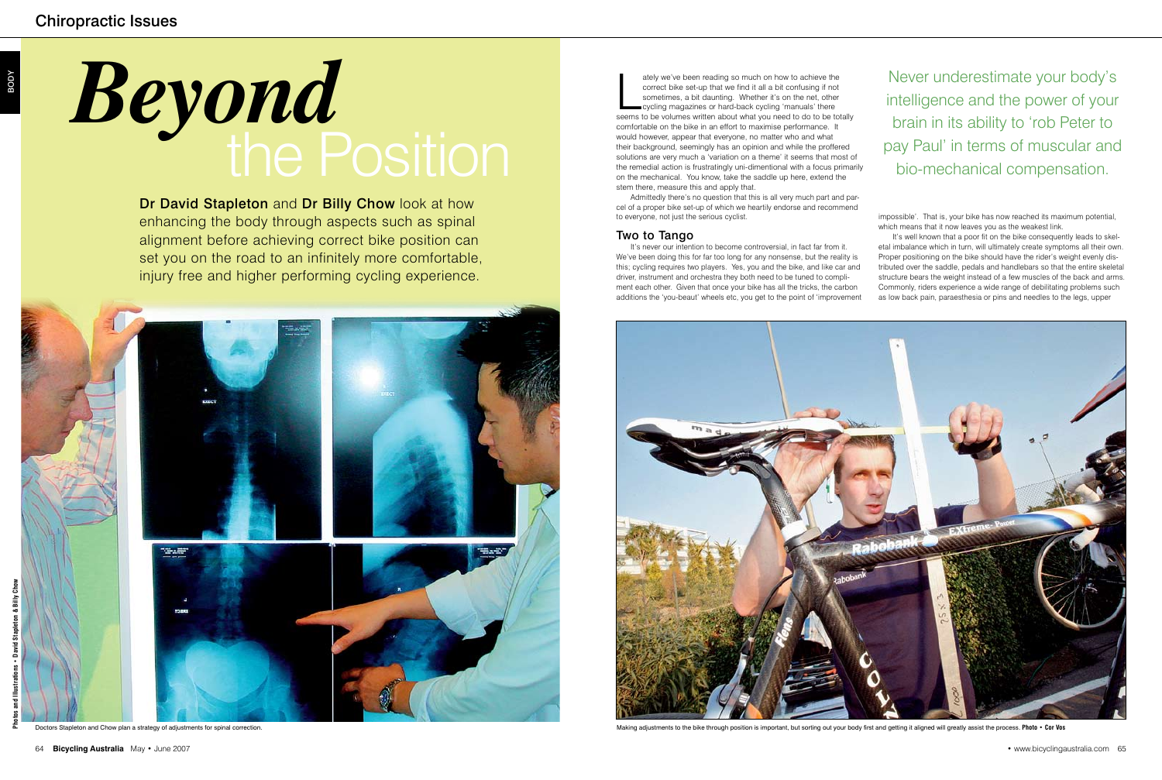impossible'. That is, your bike has now reached its maximum potential, which means that it now leaves you as the weakest link.

It's well known that a poor fit on the bike consequently leads to skeletal imbalance which in turn, will ultimately create symptoms all their own. Proper positioning on the bike should have the rider's weight evenly distributed over the saddle, pedals and handlebars so that the entire skeletal structure bears the weight instead of a few muscles of the back and arms. Commonly, riders experience a wide range of debilitating problems such as low back pain, paraesthesia or pins and needles to the legs, upper

Dr David Stapleton and Dr Billy Chow look at how enhancing the body through aspects such as spinal alignment before achieving correct bike position can set you on the road to an infinitely more comfortable, injury free and higher performing cycling experience.

BODY

# *Beyond* the Position

ately we've been reading so much on how to achieve the correct bike set-up that we find it all a bit confusing if not sometimes, a bit daunting. Whether it's on the net, other cycling magazines or hard-back cycling 'manual ately we've been reading so much on how to achieve the correct bike set-up that we find it all a bit confusing if not sometimes, a bit daunting. Whether it's on the net, other cycling magazines or hard-back cycling 'manuals' there comfortable on the bike in an effort to maximise performance. It would however, appear that everyone, no matter who and what their background, seemingly has an opinion and while the proffered solutions are very much a 'variation on a theme' it seems that most of the remedial action is frustratingly uni-dimentional with a focus primarily on the mechanical. You know, take the saddle up here, extend the stem there, measure this and apply that.

Admittedly there's no question that this is all very much part and parcel of a proper bike set-up of which we heartily endorse and recommend to everyone, not just the serious cyclist.

## Two to Tango

It's never our intention to become controversial, in fact far from it. We've been doing this for far too long for any nonsense, but the reality is this; cycling requires two players. Yes, you and the bike, and like car and driver, instrument and orchestra they both need to be tuned to compliment each other. Given that once your bike has all the tricks, the carbon additions the 'you-beaut' wheels etc, you get to the point of 'improvement



Never underestimate your body's intelligence and the power of your brain in its ability to 'rob Peter to pay Paul' in terms of muscular and bio-mechanical compensation.

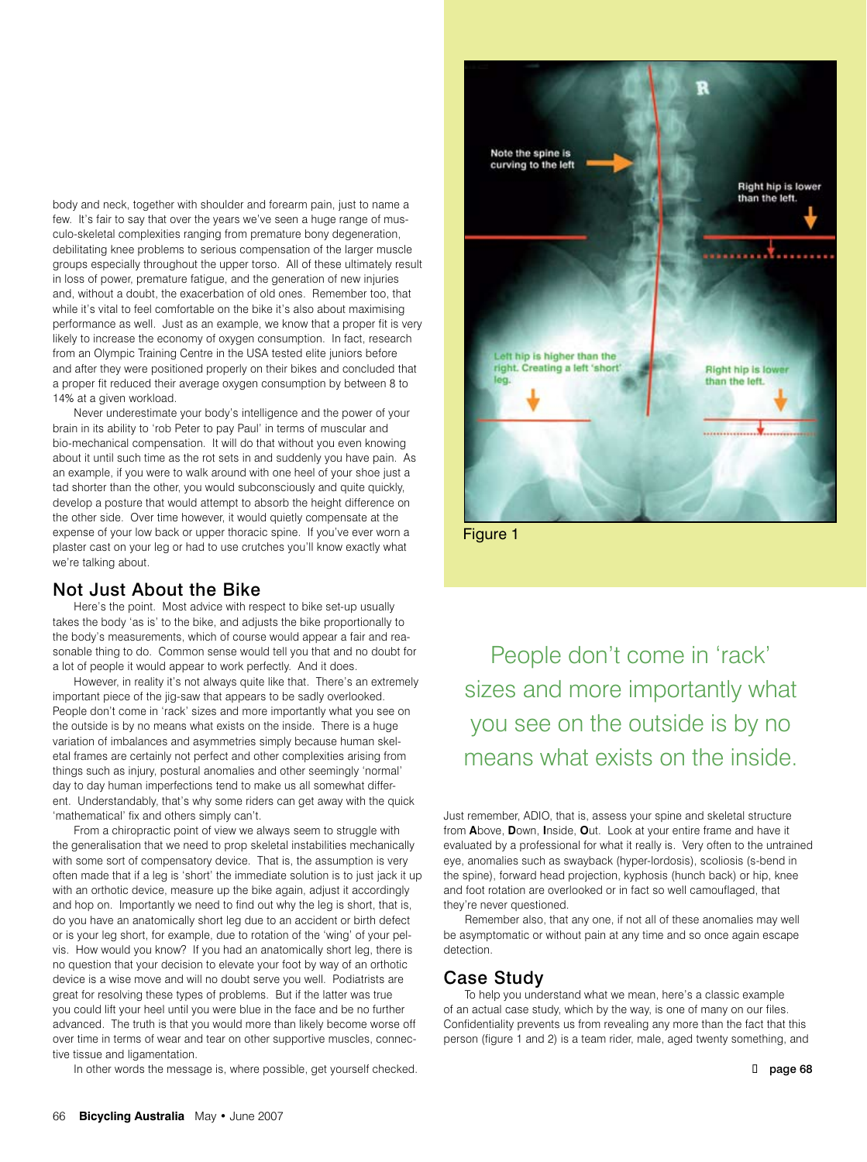body and neck, together with shoulder and forearm pain, just to name a few. It's fair to say that over the years we've seen a huge range of musculo-skeletal complexities ranging from premature bony degeneration, debilitating knee problems to serious compensation of the larger muscle groups especially throughout the upper torso. All of these ultimately result in loss of power, premature fatigue, and the generation of new injuries and, without a doubt, the exacerbation of old ones. Remember too, that while it's vital to feel comfortable on the bike it's also about maximising performance as well. Just as an example, we know that a proper fit is very likely to increase the economy of oxygen consumption. In fact, research from an Olympic Training Centre in the USA tested elite juniors before and after they were positioned properly on their bikes and concluded that a proper fit reduced their average oxygen consumption by between 8 to 14% at a given workload.

Never underestimate your body's intelligence and the power of your brain in its ability to 'rob Peter to pay Paul' in terms of muscular and bio-mechanical compensation. It will do that without you even knowing about it until such time as the rot sets in and suddenly you have pain. As an example, if you were to walk around with one heel of your shoe just a tad shorter than the other, you would subconsciously and quite quickly, develop a posture that would attempt to absorb the height difference on the other side. Over time however, it would quietly compensate at the expense of your low back or upper thoracic spine. If you've ever worn a plaster cast on your leg or had to use crutches you'll know exactly what we're talking about.

### Not Just About the Bike

Here's the point. Most advice with respect to bike set-up usually takes the body 'as is' to the bike, and adjusts the bike proportionally to the body's measurements, which of course would appear a fair and reasonable thing to do. Common sense would tell you that and no doubt for a lot of people it would appear to work perfectly. And it does.

However, in reality it's not always quite like that. There's an extremely important piece of the jig-saw that appears to be sadly overlooked. People don't come in 'rack' sizes and more importantly what you see on the outside is by no means what exists on the inside. There is a huge variation of imbalances and asymmetries simply because human skeletal frames are certainly not perfect and other complexities arising from things such as injury, postural anomalies and other seemingly 'normal' day to day human imperfections tend to make us all somewhat different. Understandably, that's why some riders can get away with the quick 'mathematical' fix and others simply can't.

From a chiropractic point of view we always seem to struggle with the generalisation that we need to prop skeletal instabilities mechanically with some sort of compensatory device. That is, the assumption is very often made that if a leg is 'short' the immediate solution is to just jack it up with an orthotic device, measure up the bike again, adjust it accordingly and hop on. Importantly we need to find out why the leg is short, that is, do you have an anatomically short leg due to an accident or birth defect or is your leg short, for example, due to rotation of the 'wing' of your pelvis. How would you know? If you had an anatomically short leg, there is no question that your decision to elevate your foot by way of an orthotic device is a wise move and will no doubt serve you well. Podiatrists are great for resolving these types of problems. But if the latter was true you could lift your heel until you were blue in the face and be no further advanced. The truth is that you would more than likely become worse off over time in terms of wear and tear on other supportive muscles, connective tissue and ligamentation.

In other words the message is, where possible, get yourself checked.



Figure 1

People don't come in 'rack' sizes and more importantly what you see on the outside is by no means what exists on the inside.

Just remember, ADIO, that is, assess your spine and skeletal structure from **A**bove, **D**own, **I**nside, **O**ut. Look at your entire frame and have it evaluated by a professional for what it really is. Very often to the untrained eye, anomalies such as swayback (hyper-lordosis), scoliosis (s-bend in the spine), forward head projection, kyphosis (hunch back) or hip, knee and foot rotation are overlooked or in fact so well camouflaged, that they're never questioned.

Remember also, that any one, if not all of these anomalies may well be asymptomatic or without pain at any time and so once again escape detection.

### Case Study

To help you understand what we mean, here's a classic example of an actual case study, which by the way, is one of many on our files. Confidentiality prevents us from revealing any more than the fact that this person (figure 1 and 2) is a team rider, male, aged twenty something, and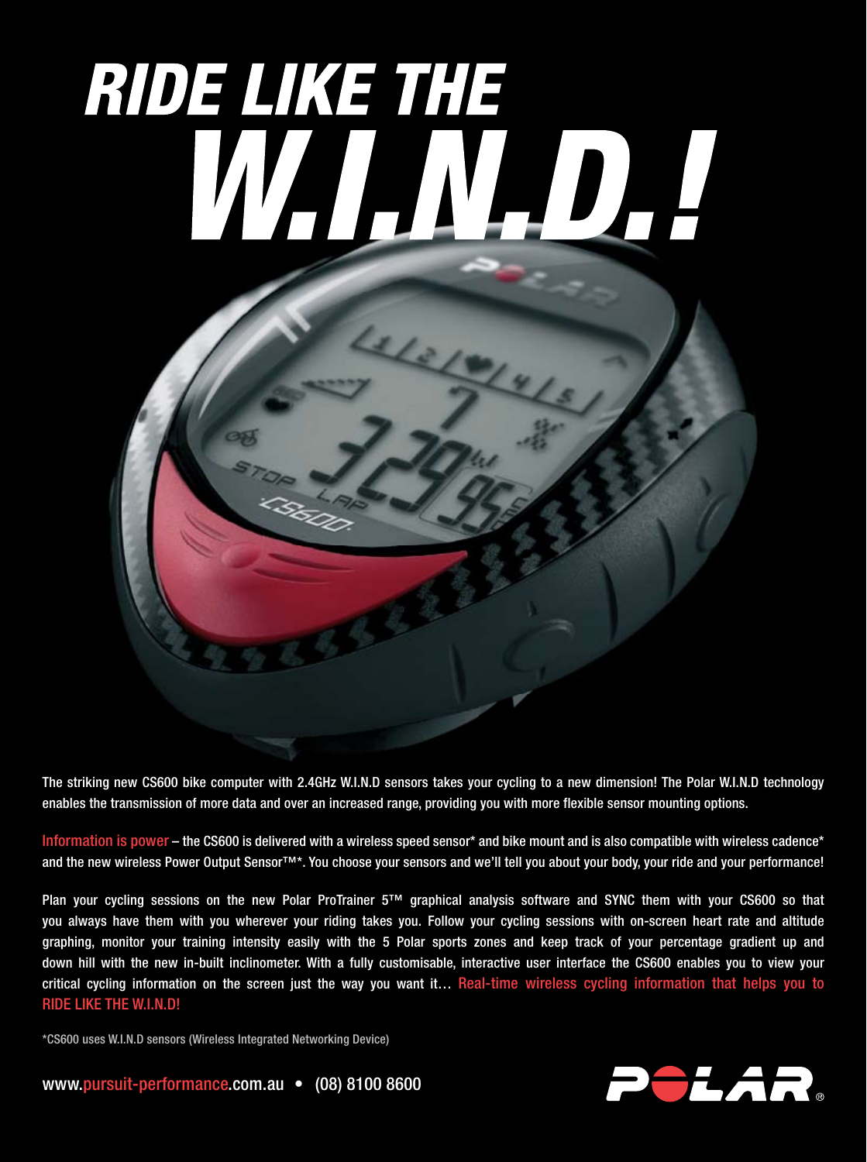## RIDE LIKE THE WARNADA



The striking new CS600 bike computer with 2.4GHz W.I.N.D sensors takes your cycling to a new dimension! The Polar W.I.N.D technology enables the transmission of more data and over an increased range, providing you with more flexible sensor mounting options.

Information is power – the CS600 is delivered with a wireless speed sensor\* and bike mount and is also compatible with wireless cadence\* and the new wireless Power Output Sensor™\*. You choose your sensors and we'll tell you about your body, your ride and your performance!

Plan your cycling sessions on the new Polar ProTrainer 5™ graphical analysis software and SYNC them with your CS600 so that you always have them with you wherever your riding takes you. Follow your cycling sessions with on-screen heart rate and altitude graphing, monitor your training intensity easily with the 5 Polar sports zones and keep track of your percentage gradient up and down hill with the new in-built inclinometer. With a fully customisable, interactive user interface the CS600 enables you to view your critical cycling information on the screen just the way you want it... Real-time wireless cycling information that helps you to RIDE LIKE THE W.I.N.D!

\*CS600 uses W.I.N.D sensors (Wireless Integrated Networking Device)